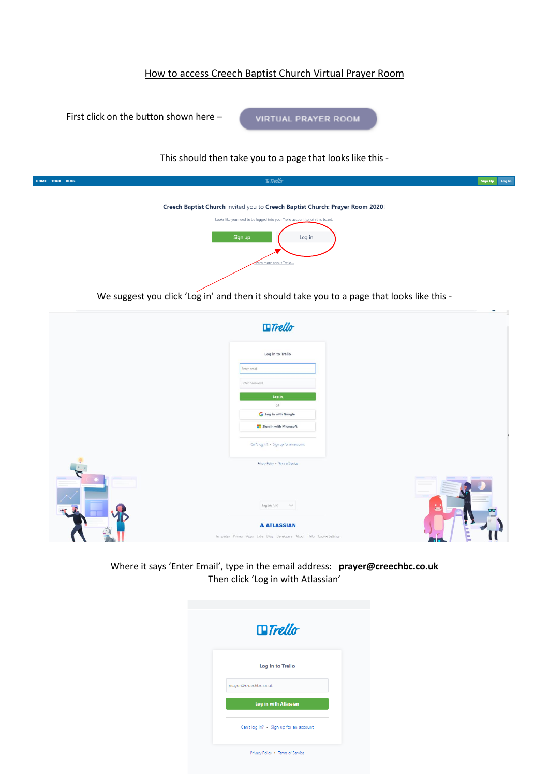## How to access Creech Baptist Church Virtual Prayer Room



|               |                                                                                                                | ۰ |
|---------------|----------------------------------------------------------------------------------------------------------------|---|
|               | $\Box$ Trello                                                                                                  |   |
|               | Log in to Trello                                                                                               |   |
|               | Enter email                                                                                                    |   |
|               | Enter password                                                                                                 |   |
|               | Log In                                                                                                         |   |
|               | OR:                                                                                                            |   |
|               | <b>G</b> Log in with Google                                                                                    |   |
|               | Sign in with Microsoft                                                                                         |   |
|               | Can't log in? . Sign up for an account                                                                         |   |
|               | Privacy Policy . Terms of Service                                                                              |   |
| $\mathcal{L}$ | English (UK) V<br><b>A ATLASSIAN</b><br>Templates Pricing Apps Jobs Blog Developers About Help Cookie Settings | ち |
|               |                                                                                                                |   |

Where it says 'Enter Email', type in the email address: **prayer@creechbc.co.uk** Then click 'Log in with Atlassian'

| $\blacksquare$ Trello                  |  |
|----------------------------------------|--|
| Log in to Trello                       |  |
| prayer@creechbc.co.uk                  |  |
| <b>Log in with Atlassian</b>           |  |
| Can't log in? . Sign up for an account |  |
| Privacy Policy . Terms of Service      |  |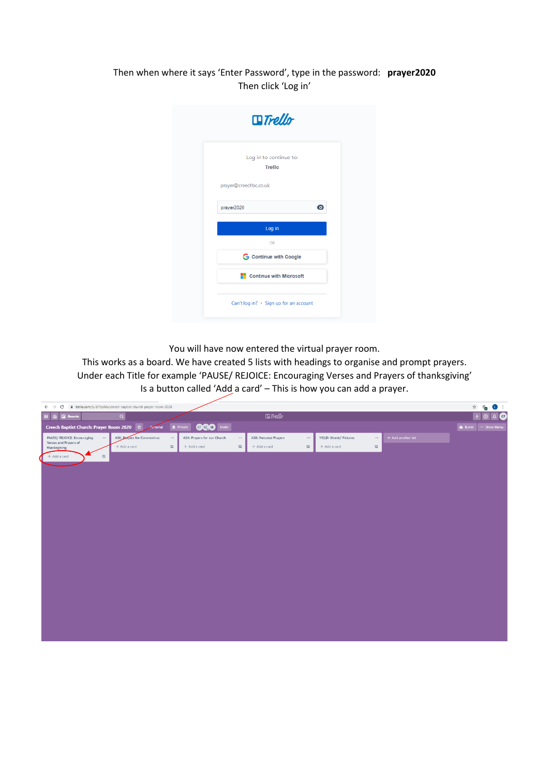## Then when where it says 'Enter Password', type in the password: **prayer2020** Then click 'Log in'

|                       | $\blacksquare$ Trello                  |           |
|-----------------------|----------------------------------------|-----------|
|                       | Log in to continue to:                 |           |
|                       | <b>Trello</b>                          |           |
| prayer@creechbc.co.uk |                                        |           |
| prayer2020            |                                        | $\bullet$ |
|                       | Log in                                 |           |
|                       | OR                                     |           |
|                       | <b>G</b> Continue with Google          |           |
|                       | Continue with Microsoft                |           |
|                       | Can't log in? - Sign up for an account |           |

You will have now entered the virtual prayer room.

This works as a board. We have created 5 lists with headings to organise and prompt prayers. Under each Title for example 'PAUSE/ REJOICE: Encouraging Verses and Prayers of thanksgiving' Is a button called 'Add a card' - This is how you can add a prayer.

| $\leftarrow$ $\rightarrow$ C                                     | ii trello.com/b/iEPlzaMx/creech-baptist-church-prayer-room-2020 |          |                                         |          |                                   |                        |                     |                    | $\vec{M}$ | $\mathbb{Q}_2$<br>$\blacksquare$ |
|------------------------------------------------------------------|-----------------------------------------------------------------|----------|-----------------------------------------|----------|-----------------------------------|------------------------|---------------------|--------------------|-----------|----------------------------------|
| E A <b>I</b> Boards                                              | $\mathbf{Q}$                                                    |          |                                         |          | $\Box$ Trello                     |                        |                     |                    | $^{+}$    | $\sqrt{2}$<br>$\odot$            |
| Creech Baptist Church: Prayer Room 2020 1                        |                                                                 |          | <b>GGO</b>   Invite<br><b>O</b> Private |          |                                   |                        |                     |                    |           | Butler - Show Menu               |
| PAUSE/ REJOICE: Encouraging<br>$\cdots$<br>Verses and Prayers of | <b>ASK: Prayers for Coronovirus</b>                             | $\cdots$ | ASK: Prayers for our Church             | $\cdots$ | ASK: Personal Prayers<br>$\cdots$ | YIELD: Words/ Pictures | $\cdots$            | + Add another list |           |                                  |
| thanksgiving                                                     | + Add a card                                                    | $\Xi$    | + Add a card                            | a        | $\hfill \square$<br>+ Add a card  | + Add a card           | $\overline{\omega}$ |                    |           |                                  |
| $+$ Add a card<br>$\mathbbm{C}$                                  |                                                                 |          |                                         |          |                                   |                        |                     |                    |           |                                  |
|                                                                  |                                                                 |          |                                         |          |                                   |                        |                     |                    |           |                                  |
|                                                                  |                                                                 |          |                                         |          |                                   |                        |                     |                    |           |                                  |
|                                                                  |                                                                 |          |                                         |          |                                   |                        |                     |                    |           |                                  |
|                                                                  |                                                                 |          |                                         |          |                                   |                        |                     |                    |           |                                  |
|                                                                  |                                                                 |          |                                         |          |                                   |                        |                     |                    |           |                                  |
|                                                                  |                                                                 |          |                                         |          |                                   |                        |                     |                    |           |                                  |
|                                                                  |                                                                 |          |                                         |          |                                   |                        |                     |                    |           |                                  |
|                                                                  |                                                                 |          |                                         |          |                                   |                        |                     |                    |           |                                  |
|                                                                  |                                                                 |          |                                         |          |                                   |                        |                     |                    |           |                                  |
|                                                                  |                                                                 |          |                                         |          |                                   |                        |                     |                    |           |                                  |
|                                                                  |                                                                 |          |                                         |          |                                   |                        |                     |                    |           |                                  |
|                                                                  |                                                                 |          |                                         |          |                                   |                        |                     |                    |           |                                  |
|                                                                  |                                                                 |          |                                         |          |                                   |                        |                     |                    |           |                                  |
|                                                                  |                                                                 |          |                                         |          |                                   |                        |                     |                    |           |                                  |
|                                                                  |                                                                 |          |                                         |          |                                   |                        |                     |                    |           |                                  |
|                                                                  |                                                                 |          |                                         |          |                                   |                        |                     |                    |           |                                  |
|                                                                  |                                                                 |          |                                         |          |                                   |                        |                     |                    |           |                                  |
|                                                                  |                                                                 |          |                                         |          |                                   |                        |                     |                    |           |                                  |
|                                                                  |                                                                 |          |                                         |          |                                   |                        |                     |                    |           |                                  |